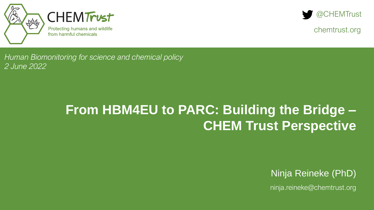



chemtrust.org

*Human Biomonitoring for science and chemical policy 2 June 2022* 

### **From HBM4EU to PARC: Building the Bridge – CHEM Trust Perspective**

Ninja Reineke (PhD)

ninja.reineke@chemtrust.org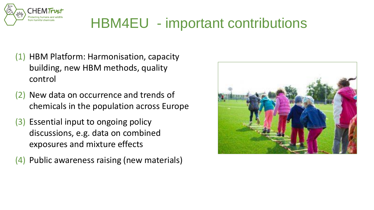

## HBM4EU - important contributions

- (1) HBM Platform: Harmonisation, capacity building, new HBM methods, quality control
- (2) New data on occurrence and trends of chemicals in the population across Europe
- (3) Essential input to ongoing policy discussions, e.g. data on combined exposures and mixture effects
- (4) Public awareness raising (new materials)

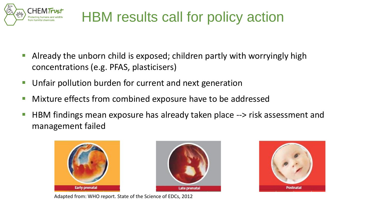

## HBM results call for policy action

- Already the unborn child is exposed; children partly with worryingly high concentrations (e.g. PFAS, plasticisers)
- Unfair pollution burden for current and next generation
- Mixture effects from combined exposure have to be addressed
- HBM findings mean exposure has already taken place --> risk assessment and management failed







Adapted from: WHO report. State of the Science of EDCs, 2012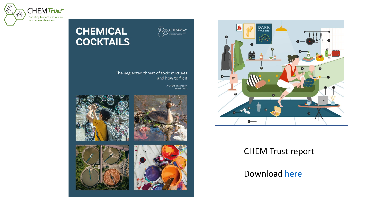



The neglected threat of toxic mixtures and how to fix it

A CHEM Trust report<br>March 2022

CHEMTrust









#### CHEM Trust report

#### Download [here](https://chemtrust.org/wp-content/uploads/Chemical-cocktails_CHEMTrust-report_March-2022.pdf)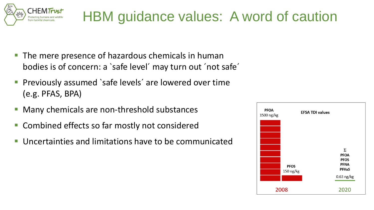

### HBM guidance values: A word of caution

- The mere presence of hazardous chemicals in human bodies is of concern: a `safe level´ may turn out ´not safe´
- Previously assumed `safe levels' are lowered over time (e.g. PFAS, BPA)
- Many chemicals are non-threshold substances
- Combined effects so far mostly not considered
- Uncertainties and limitations have to be communicated

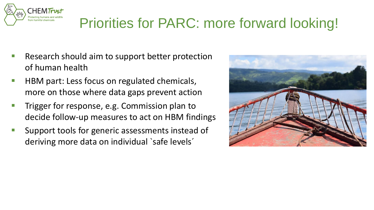

## Priorities for PARC: more forward looking!

- Research should aim to support better protection of human health
- HBM part: Less focus on regulated chemicals, more on those where data gaps prevent action
- **E** Trigger for response, e.g. Commission plan to decide follow-up measures to act on HBM findings
- Support tools for generic assessments instead of deriving more data on individual 'safe levels'

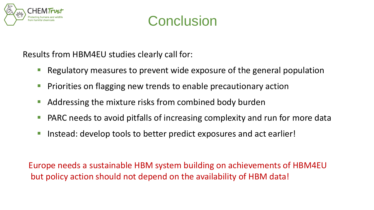

### **Conclusion**

Results from HBM4EU studies clearly call for:

- Regulatory measures to prevent wide exposure of the general population
- Priorities on flagging new trends to enable precautionary action
- Addressing the mixture risks from combined body burden
- PARC needs to avoid pitfalls of increasing complexity and run for more data
- Instead: develop tools to better predict exposures and act earlier!

Europe needs a sustainable HBM system building on achievements of HBM4EU but policy action should not depend on the availability of HBM data!